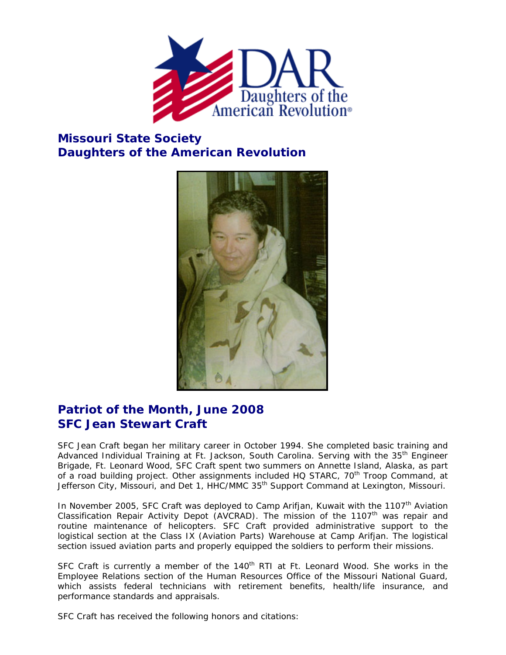

## **Missouri State Society Daughters of the American Revolution**



## **Patriot of the Month, June 2008 SFC Jean Stewart Craft**

SFC Jean Craft began her military career in October 1994. She completed basic training and Advanced Individual Training at Ft. Jackson, South Carolina. Serving with the 35<sup>th</sup> Engineer Brigade, Ft. Leonard Wood, SFC Craft spent two summers on Annette Island, Alaska, as part of a road building project. Other assignments included HQ STARC, 70<sup>th</sup> Troop Command, at Jefferson City, Missouri, and Det 1, HHC/MMC 35<sup>th</sup> Support Command at Lexington, Missouri.

In November 2005, SFC Craft was deployed to Camp Arifjan, Kuwait with the 1107<sup>th</sup> Aviation Classification Repair Activity Depot (AVCRAD). The mission of the 1107<sup>th</sup> was repair and routine maintenance of helicopters. SFC Craft provided administrative support to the logistical section at the Class IX (Aviation Parts) Warehouse at Camp Arifjan. The logistical section issued aviation parts and properly equipped the soldiers to perform their missions.

SFC Craft is currently a member of the 140<sup>th</sup> RTI at Ft. Leonard Wood. She works in the Employee Relations section of the Human Resources Office of the Missouri National Guard, which assists federal technicians with retirement benefits, health/life insurance, and performance standards and appraisals.

SFC Craft has received the following honors and citations: